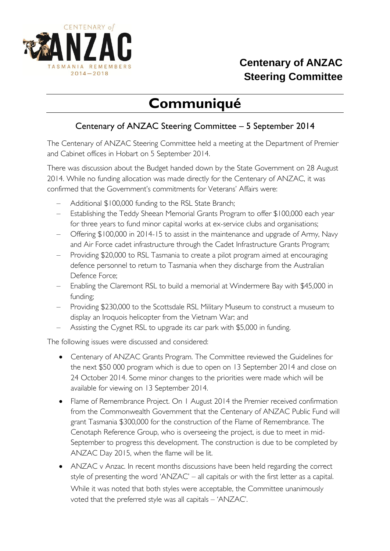

## **Centenary of ANZAC Steering Committee**

## **Communiqué**

## Centenary of ANZAC Steering Committee – 5 September 2014

The Centenary of ANZAC Steering Committee held a meeting at the Department of Premier and Cabinet offices in Hobart on 5 September 2014.

There was discussion about the Budget handed down by the State Government on 28 August 2014. While no funding allocation was made directly for the Centenary of ANZAC, it was confirmed that the Government's commitments for Veterans' Affairs were:

- Additional \$100,000 funding to the RSL State Branch;
- Establishing the Teddy Sheean Memorial Grants Program to offer \$100,000 each year for three years to fund minor capital works at ex-service clubs and organisations;
- Offering \$100,000 in 2014-15 to assist in the maintenance and upgrade of Army, Navy and Air Force cadet infrastructure through the Cadet Infrastructure Grants Program;
- Providing \$20,000 to RSL Tasmania to create a pilot program aimed at encouraging defence personnel to return to Tasmania when they discharge from the Australian Defence Force;
- Enabling the Claremont RSL to build a memorial at Windermere Bay with \$45,000 in funding;
- Providing \$230,000 to the Scottsdale RSL Military Museum to construct a museum to display an Iroquois helicopter from the Vietnam War; and
- Assisting the Cygnet RSL to upgrade its car park with \$5,000 in funding.

The following issues were discussed and considered:

- Centenary of ANZAC Grants Program. The Committee reviewed the Guidelines for the next \$50 000 program which is due to open on 13 September 2014 and close on 24 October 2014. Some minor changes to the priorities were made which will be available for viewing on 13 September 2014.
- Flame of Remembrance Project. On 1 August 2014 the Premier received confirmation from the Commonwealth Government that the Centenary of ANZAC Public Fund will grant Tasmania \$300,000 for the construction of the Flame of Remembrance. The Cenotaph Reference Group, who is overseeing the project, is due to meet in mid-September to progress this development. The construction is due to be completed by ANZAC Day 2015, when the flame will be lit.
- ANZAC v Anzac. In recent months discussions have been held regarding the correct style of presenting the word 'ANZAC' – all capitals or with the first letter as a capital. While it was noted that both styles were acceptable, the Committee unanimously voted that the preferred style was all capitals – 'ANZAC'.